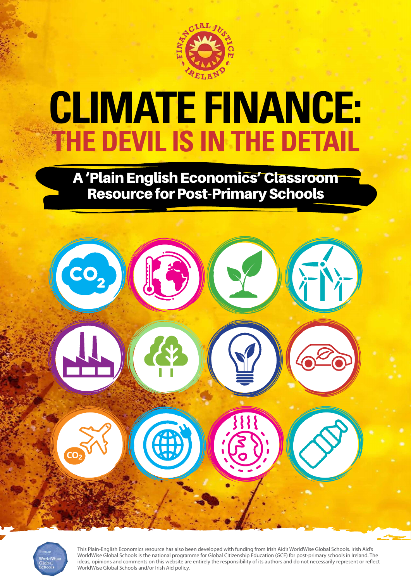

## **Climate Finance: The devil is in the detail**

A 'Plain English Economics' Classroom Resource for Post-Primary Schools





This Plain-English Economics resource has also been developed with funding from Irish Aid's WorldWise Global Schools. Irish Aid's WorldWise Global Schools is the national programme for Global Citizenship Education (GCE) for post-primary schools in Ireland. The ideas, opinions and comments on this website are entirely the responsibility of its authors and do not necessarily represent or reflect WorldWise Global Schools and/or Irish Aid policy.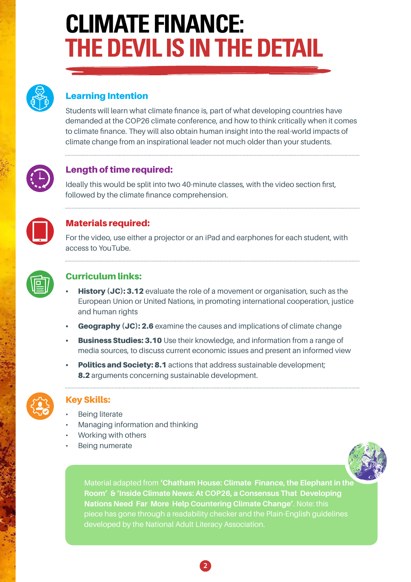## **climate finance: the devil is in the detail**



#### Learning Intention

Students will learn what climate finance is, part of what developing countries have demanded at the COP26 climate conference, and how to think critically when it comes to climate finance. They will also obtain human insight into the real-world impacts of climate change from an inspirational leader not much older than your students.



#### Length of time required:

Ideally this would be split into two 40-minute classes, with the video section first, followed by the climate finance comprehension.



#### Materials required:

For the video, use either a projector or an iPad and earphones for each student, with access to YouTube.



#### Curriculum links:

- **History (JC): 3.12** evaluate the role of a movement or organisation, such as the European Union or United Nations, in promoting international cooperation, justice and human rights
- **Geography (JC): 2.6** examine the causes and implications of climate change
- **Business Studies: 3.10** Use their knowledge, and information from a range of media sources, to discuss current economic issues and present an informed view
- Politics and Society: 8.1 actions that address sustainable development; 8.2 arguments concerning sustainable development.



#### Key Skills:

- **Being literate**
- Managing information and thinking
- Working with others
- **Being numerate**



**2 3**

Material adapted from **'Chatham House: Climate Finance, the Elephant in the Room' & 'Inside Climate News: At COP26, a Consensus That Developing Nations Need Far More Help Countering Climate Change'**. Note: this piece has gone through a readability checker and the Plain-English guidelines developed by the National Adult Literacy Association.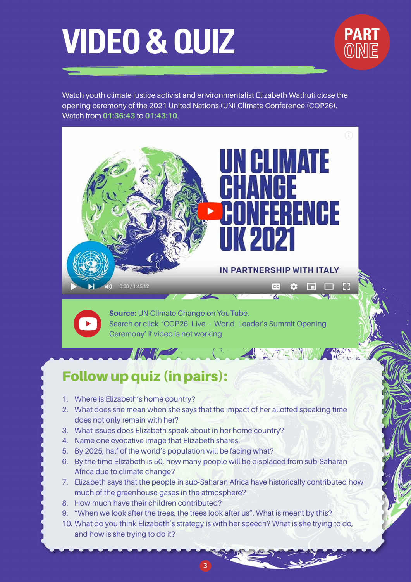# **video & quiz**



Watch youth climate justice activist and environmentalist Elizabeth Wathuti close the opening ceremony of the 2021 United Nations (UN) Climate Conference (COP26). Watch from **01:36:43** to **01:43:10**.





**2 3**

**Source:** UN Climate Change on YouTube. Search or click 'COP26 Live - World Leader's Summit Opening Ceremony' if video is not working

**IN THE REAL PROPERTY OF A REAL PROPERTY OF A REAL PROPERTY** 

### Follow up quiz (in pairs):

- 1. Where is Elizabeth's home country?
- 2. What does she mean when she says that the impact of her allotted speaking time does not only remain with her?
- 3. What issues does Elizabeth speak about in her home country?
- 4. Name one evocative image that Elizabeth shares.
- 5. By 2025, half of the world's population will be facing what?
- 6. By the time Elizabeth is 50, how many people will be displaced from sub-Saharan Africa due to climate change?
- 7. Elizabeth says that the people in sub-Saharan Africa have historically contributed how much of the greenhouse gases in the atmosphere?
- 8. How much have their children contributed?
- 9. "When we look after the trees, the trees look after us". What is meant by this?
- 10. What do you think Elizabeth's strategy is with her speech? What is she trying to do, and how is she trying to do it?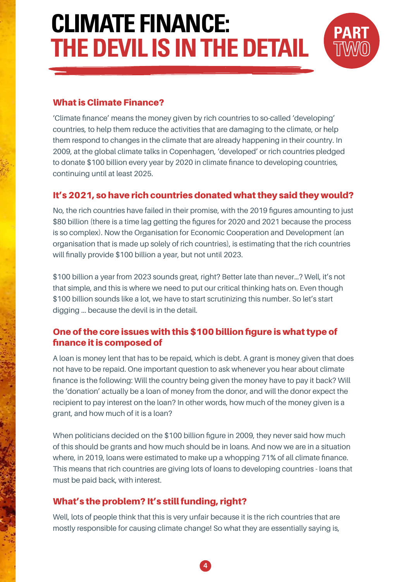### **climate finance: THE DEVIL IS IN THE DETAIL**



#### What is Climate Finance?

'Climate finance' means the money given by rich countries to so-called 'developing' countries, to help them reduce the activities that are damaging to the climate, or help them respond to changes in the climate that are already happening in their country. In 2009, at the global climate talks in Copenhagen, 'developed' or rich countries pledged to donate \$100 billion every year by 2020 in climate finance to developing countries, continuing until at least 2025.

#### It's 2021, so have rich countries donated what they said they would?

No, the rich countries have failed in their promise, with the 2019 figures amounting to just \$80 billion (there is a time lag getting the figures for 2020 and 2021 because the process is so complex). Now the Organisation for Economic Cooperation and Development (an organisation that is made up solely of rich countries), is estimating that the rich countries will finally provide \$100 billion a year, but not until 2023.

\$100 billion a year from 2023 sounds great, right? Better late than never…? Well, it's not that simple, and this is where we need to put our critical thinking hats on. Even though \$100 billion sounds like a lot, we have to start scrutinizing this number. So let's start digging ... because the devil is in the detail.

#### One of the core issues with this \$100 billion figure is what type of finance it is composed of

A loan is money lent that has to be repaid, which is debt. A grant is money given that does not have to be repaid. One important question to ask whenever you hear about climate finance is the following: Will the country being given the money have to pay it back? Will the 'donation' actually be a loan of money from the donor, and will the donor expect the recipient to pay interest on the loan? In other words, how much of the money given is a grant, and how much of it is a loan?

When politicians decided on the \$100 billion figure in 2009, they never said how much of this should be grants and how much should be in loans. And now we are in a situation where, in 2019, loans were estimated to make up a whopping 71% of all climate finance. This means that rich countries are giving lots of loans to developing countries - loans that must be paid back, with interest.

#### What's the problem? It's still funding, right?

Well, lots of people think that this is very unfair because it is the rich countries that are mostly responsible for causing climate change! So what they are essentially saying is,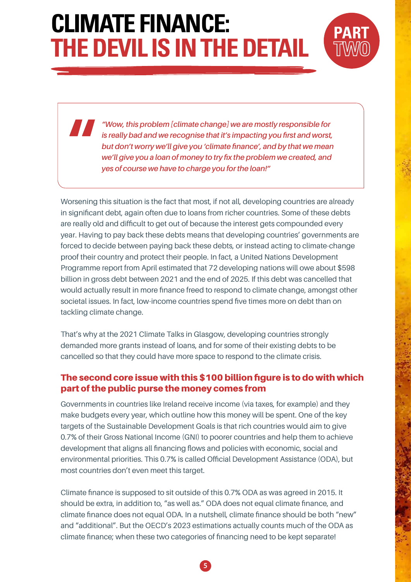## **climate finance: THE DEVIL IS IN THE DETAIL**



*"Wow, this problem [climate change] we are mostly responsible for is really bad and we recognise that it's impacting you first and worst, but don't worry we'll give you 'climate finance', and by that we mean we'll give you a loan of money to try fix the problem we created, and yes of course we have to charge you for the loan!"*

Worsening this situation is the fact that most, if not all, developing countries are already in significant debt, again often due to loans from richer countries. Some of these debts are really old and difficult to get out of because the interest gets compounded every year. Having to pay back these debts means that developing countries' governments are forced to decide between paying back these debts, or instead acting to climate-change proof their country and protect their people. In fact, a United Nations Development Programme report from April estimated that 72 developing nations will owe about \$598 billion in gross debt between 2021 and the end of 2025. If this debt was cancelled that would actually result in more finance freed to respond to climate change, amongst other societal issues. In fact, low-income countries spend five times more on debt than on tackling climate change.

That's why at the 2021 Climate Talks in Glasgow, developing countries strongly demanded more grants instead of loans, and for some of their existing debts to be cancelled so that they could have more space to respond to the climate crisis.

#### The second core issue with this \$100 billion figure is to do with which part of the public purse the money comes from

Governments in countries like Ireland receive income (via taxes, for example) and they make budgets every year, which outline how this money will be spent. One of the key targets of the Sustainable Development Goals is that rich countries would aim to give 0.7% of their Gross National Income (GNI) to poorer countries and help them to achieve development that aligns all financing flows and policies with economic, social and environmental priorities. This 0.7% is called Official Development Assistance (ODA), but most countries don't even meet this target.

Climate finance is supposed to sit outside of this 0.7% ODA as was agreed in 2015. It should be extra, in addition to, "as well as." ODA does not equal climate finance, and climate finance does not equal ODA. In a nutshell, climate finance should be both "new" and "additional". But the OECD's 2023 estimations actually counts much of the ODA as climate finance; when these two categories of financing need to be kept separate!